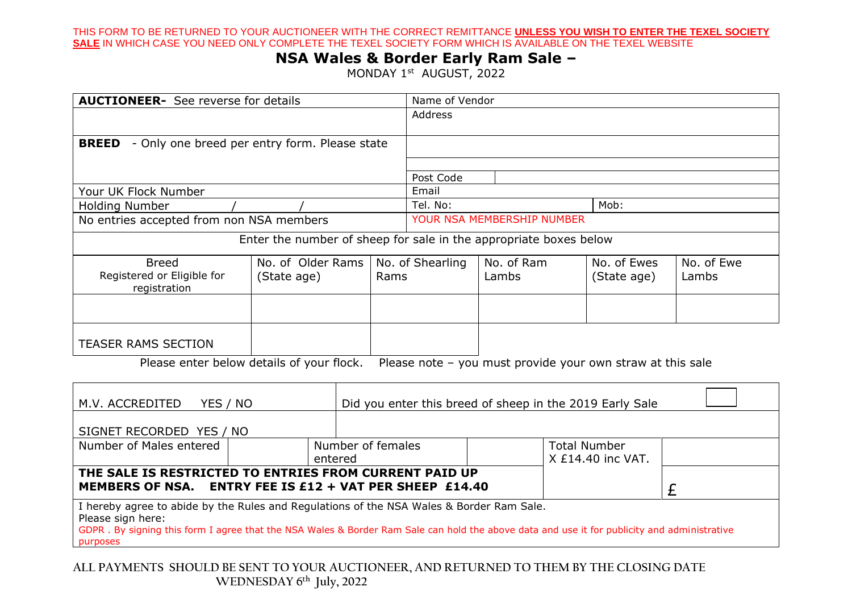THIS FORM TO BE RETURNED TO YOUR AUCTIONEER WITH THE CORRECT REMITTANCE **UNLESS YOU WISH TO ENTER THE TEXEL SOCIETY SALE** IN WHICH CASE YOU NEED ONLY COMPLETE THE TEXEL SOCIETY FORM WHICH IS AVAILABLE ON THE TEXEL WEBSITE

## **NSA Wales & Border Early Ram Sale –**

MONDAY 1<sup>st</sup> AUGUST, 2022

| <b>AUCTIONEER-</b> See reverse for details                                                                                                                                                                                                                               |                                  |                   | Name of Vendor                                           |                     |                                            |                            |                     |
|--------------------------------------------------------------------------------------------------------------------------------------------------------------------------------------------------------------------------------------------------------------------------|----------------------------------|-------------------|----------------------------------------------------------|---------------------|--------------------------------------------|----------------------------|---------------------|
|                                                                                                                                                                                                                                                                          |                                  |                   | Address                                                  |                     |                                            |                            |                     |
| <b>BREED</b> - Only one breed per entry form. Please state                                                                                                                                                                                                               |                                  |                   | Post Code                                                |                     |                                            |                            |                     |
| Your UK Flock Number                                                                                                                                                                                                                                                     | Email                            |                   |                                                          |                     |                                            |                            |                     |
| <b>Holding Number</b>                                                                                                                                                                                                                                                    | Tel. No:<br>Mob:                 |                   |                                                          |                     |                                            |                            |                     |
| No entries accepted from non NSA members                                                                                                                                                                                                                                 |                                  |                   | YOUR NSA MEMBERSHIP NUMBER                               |                     |                                            |                            |                     |
| Enter the number of sheep for sale in the appropriate boxes below                                                                                                                                                                                                        |                                  |                   |                                                          |                     |                                            |                            |                     |
| <b>Breed</b><br>Registered or Eligible for<br>registration                                                                                                                                                                                                               | No. of Older Rams<br>(State age) | Rams              | No. of Shearling                                         | No. of Ram<br>Lambs |                                            | No. of Ewes<br>(State age) | No. of Ewe<br>Lambs |
|                                                                                                                                                                                                                                                                          |                                  |                   |                                                          |                     |                                            |                            |                     |
| <b>TEASER RAMS SECTION</b>                                                                                                                                                                                                                                               |                                  |                   |                                                          |                     |                                            |                            |                     |
| Please enter below details of your flock.<br>Please note - you must provide your own straw at this sale                                                                                                                                                                  |                                  |                   |                                                          |                     |                                            |                            |                     |
| M.V. ACCREDITED<br>YES / NO                                                                                                                                                                                                                                              |                                  |                   | Did you enter this breed of sheep in the 2019 Early Sale |                     |                                            |                            |                     |
| SIGNET RECORDED YES / NO                                                                                                                                                                                                                                                 |                                  |                   |                                                          |                     |                                            |                            |                     |
| Number of Males entered                                                                                                                                                                                                                                                  | entered                          | Number of females |                                                          |                     | <b>Total Number</b><br>$X$ £14.40 inc VAT. |                            |                     |
| THE SALE IS RESTRICTED TO ENTRIES FROM CURRENT PAID UP<br><b>MEMBERS OF NSA.</b><br><b>ENTRY FEE IS £12 + VAT PER SHEEP £14.40</b>                                                                                                                                       |                                  |                   |                                                          |                     |                                            |                            | £                   |
| I hereby agree to abide by the Rules and Regulations of the NSA Wales & Border Ram Sale.<br>Please sign here:<br>GDPR. By signing this form I agree that the NSA Wales & Border Ram Sale can hold the above data and use it for publicity and administrative<br>purposes |                                  |                   |                                                          |                     |                                            |                            |                     |

**ALL PAYMENTS SHOULD BE SENT TO YOUR AUCTIONEER, AND RETURNED TO THEM BY THE CLOSING DATE WEDNESDAY 6 th July, 2022**